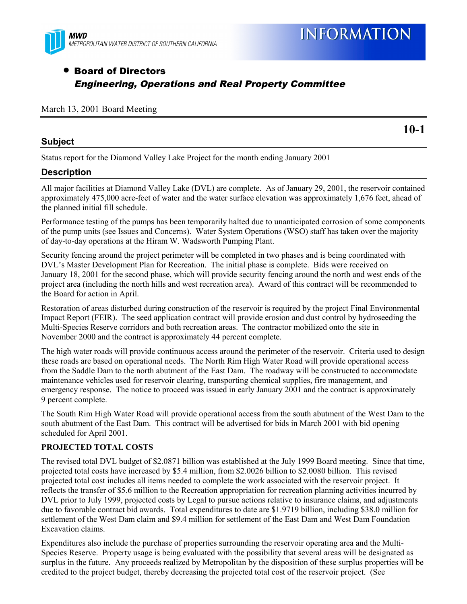

## • Board of Directors Engineering, Operations and Real Property Committee

#### March 13, 2001 Board Meeting

### **Subject**

**10-1**

Status report for the Diamond Valley Lake Project for the month ending January 2001

### **Description**

All major facilities at Diamond Valley Lake (DVL) are complete. As of January 29, 2001, the reservoir contained approximately 475,000 acre-feet of water and the water surface elevation was approximately 1,676 feet, ahead of the planned initial fill schedule.

Performance testing of the pumps has been temporarily halted due to unanticipated corrosion of some components of the pump units (see Issues and Concerns). Water System Operations (WSO) staff has taken over the majority of day-to-day operations at the Hiram W. Wadsworth Pumping Plant.

Security fencing around the project perimeter will be completed in two phases and is being coordinated with DVL's Master Development Plan for Recreation. The initial phase is complete. Bids were received on January 18, 2001 for the second phase, which will provide security fencing around the north and west ends of the project area (including the north hills and west recreation area). Award of this contract will be recommended to the Board for action in April.

Restoration of areas disturbed during construction of the reservoir is required by the project Final Environmental Impact Report (FEIR). The seed application contract will provide erosion and dust control by hydroseeding the Multi-Species Reserve corridors and both recreation areas. The contractor mobilized onto the site in November 2000 and the contract is approximately 44 percent complete.

The high water roads will provide continuous access around the perimeter of the reservoir. Criteria used to design these roads are based on operational needs. The North Rim High Water Road will provide operational access from the Saddle Dam to the north abutment of the East Dam. The roadway will be constructed to accommodate maintenance vehicles used for reservoir clearing, transporting chemical supplies, fire management, and emergency response. The notice to proceed was issued in early January 2001 and the contract is approximately 9 percent complete.

The South Rim High Water Road will provide operational access from the south abutment of the West Dam to the south abutment of the East Dam. This contract will be advertised for bids in March 2001 with bid opening scheduled for April 2001.

### **PROJECTED TOTAL COSTS**

The revised total DVL budget of \$2.0871 billion was established at the July 1999 Board meeting. Since that time, projected total costs have increased by \$5.4 million, from \$2.0026 billion to \$2.0080 billion. This revised projected total cost includes all items needed to complete the work associated with the reservoir project. It reflects the transfer of \$5.6 million to the Recreation appropriation for recreation planning activities incurred by DVL prior to July 1999, projected costs by Legal to pursue actions relative to insurance claims, and adjustments due to favorable contract bid awards. Total expenditures to date are \$1.9719 billion, including \$38.0 million for settlement of the West Dam claim and \$9.4 million for settlement of the East Dam and West Dam Foundation Excavation claims.

Expenditures also include the purchase of properties surrounding the reservoir operating area and the Multi-Species Reserve. Property usage is being evaluated with the possibility that several areas will be designated as surplus in the future. Any proceeds realized by Metropolitan by the disposition of these surplus properties will be credited to the project budget, thereby decreasing the projected total cost of the reservoir project. (See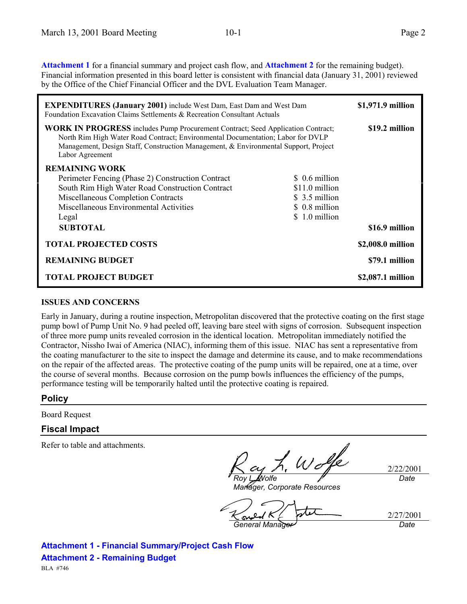**Attachment 1** for a financial summary and project cash flow, and **Attachment 2** for the remaining budget). Financial information presented in this board letter is consistent with financial data (January 31, 2001) reviewed by the Office of the Chief Financial Officer and the DVL Evaluation Team Manager.

| <b>EXPENDITURES</b> (January 2001) include West Dam, East Dam and West Dam<br>Foundation Excavation Claims Settlements & Recreation Consultant Actuals                                                                                                                              |                                                                      | \$1,971.9 million |
|-------------------------------------------------------------------------------------------------------------------------------------------------------------------------------------------------------------------------------------------------------------------------------------|----------------------------------------------------------------------|-------------------|
| <b>WORK IN PROGRESS</b> includes Pump Procurement Contract; Seed Application Contract;<br>North Rim High Water Road Contract; Environmental Documentation; Labor for DVLP<br>Management, Design Staff, Construction Management, & Environmental Support, Project<br>Labor Agreement |                                                                      | \$19.2 million    |
| <b>REMAINING WORK</b><br>Perimeter Fencing (Phase 2) Construction Contract<br>South Rim High Water Road Construction Contract<br>Miscellaneous Completion Contracts<br>Miscellaneous Environmental Activities                                                                       | \$ 0.6 million<br>\$11.0 million<br>\$ 3.5 million<br>\$ 0.8 million |                   |
| Legal<br><b>SUBTOTAL</b>                                                                                                                                                                                                                                                            | \$1.0 million                                                        | \$16.9 million    |
| <b>TOTAL PROJECTED COSTS</b>                                                                                                                                                                                                                                                        |                                                                      | \$2,008.0 million |
| <b>REMAINING BUDGET</b>                                                                                                                                                                                                                                                             |                                                                      | \$79.1 million    |
| <b>TOTAL PROJECT BUDGET</b>                                                                                                                                                                                                                                                         |                                                                      | \$2,087.1 million |

#### **ISSUES AND CONCERNS**

Early in January, during a routine inspection, Metropolitan discovered that the protective coating on the first stage pump bowl of Pump Unit No. 9 had peeled off, leaving bare steel with signs of corrosion. Subsequent inspection of three more pump units revealed corrosion in the identical location. Metropolitan immediately notified the Contractor, Nissho Iwai of America (NIAC), informing them of this issue. NIAC has sent a representative from the coating manufacturer to the site to inspect the damage and determine its cause, and to make recommendations on the repair of the affected areas. The protective coating of the pump units will be repaired, one at a time, over the course of several months. Because corrosion on the pump bowls influences the efficiency of the pumps, performance testing will be temporarily halted until the protective coating is repaired.

## **Policy**

Board Request

## **Fiscal Impact**

Refer to table and attachments.

*Roy L. Wolfe*

2/22/2001 *Date*

*Manager, Corporate Resources*

2/27/2001 *General Manager Date*

**Attachment 1 - Financial Summary/Project Cash Flow Attachment 2 - Remaining Budget**

BLA #746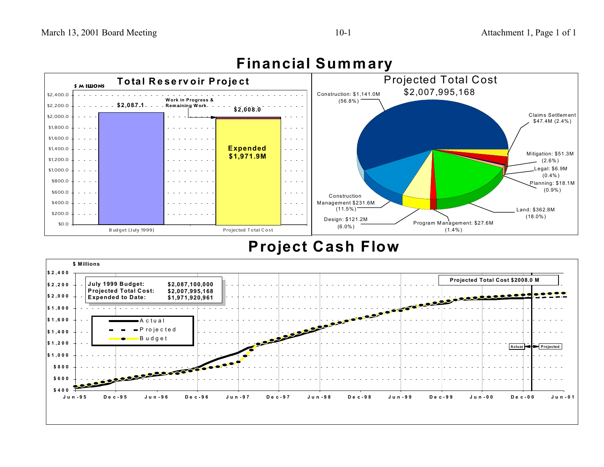

# **Financial Summary**

## **Project Cash Flow**